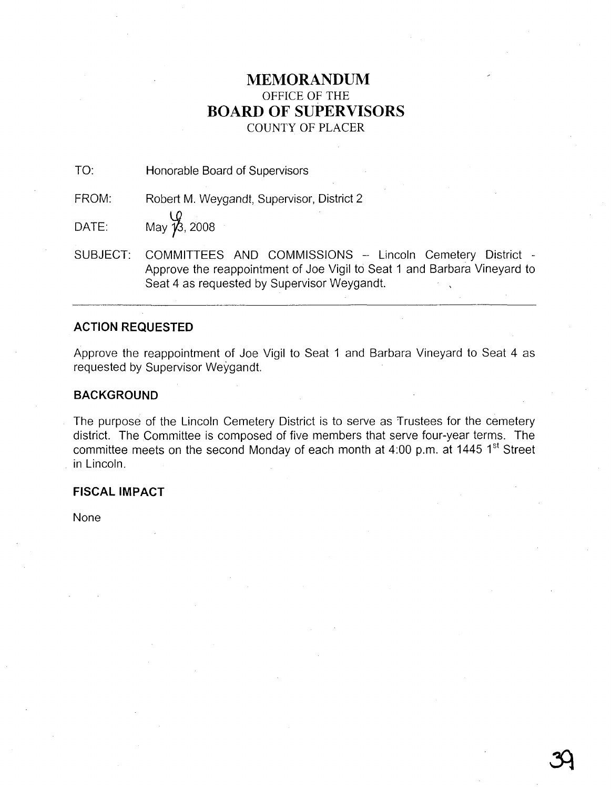# **MEMORANDUM** OFFICE OF THE **BOARD OF SUPERVISORS** COUNTY OF PLACER

TO: Honorable Board of Supervisors

FROM: Robert M. Weygandt, Supervisor, District 2

DATE: May  $\overline{\mathcal{V}}$ , 2008

SUBJECT: COMMITTEES AND COMMISSIONS - Lincoln Cemetery District -Approve the reappointment of Joe Vigil to Seat 1 and Barbara Vineyard to Seat 4 as requested by Supervisor Weygandt.

## **ACTION REQUESTED**

Approve the reappointment of Joe Vigil to Seat 1 and Barbara Vineyard to Seat 4 as requested by Supervisor Weygandt.

# **BACKGROUND**

The purpose of the Lincoln Cemetery District is to serve as Trustees for the cemetery district. The Committee is composed of five members that serve four-year terms. The committee meets on the second Monday of each month at 4:00 p.m. at 1445 1<sup>st</sup> Street in Lincoln.

## **FISCAL IMPACT**

None